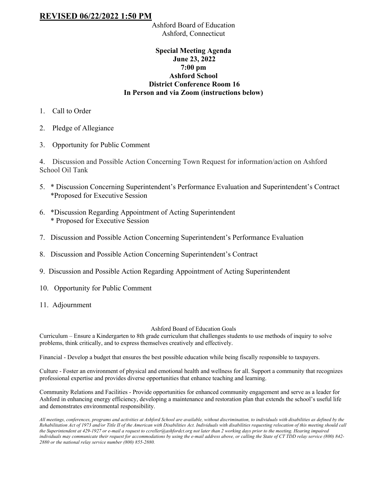## **REVISED 06/22/2022 1:50 PM**

Ashford Board of Education Ashford, Connecticut

## **Special Meeting Agenda June 23, 2022 7:00 pm Ashford School District Conference Room 16 In Person and via Zoom (instructions below)**

- 1. Call to Order
- 2. Pledge of Allegiance
- 3. Opportunity for Public Comment

4. Discussion and Possible Action Concerning Town Request for information/action on Ashford School Oil Tank

- 5. \* Discussion Concerning Superintendent's Performance Evaluation and Superintendent's Contract \*Proposed for Executive Session
- 6. \*Discussion Regarding Appointment of Acting Superintendent \* Proposed for Executive Session
- 7. Discussion and Possible Action Concerning Superintendent's Performance Evaluation
- 8. Discussion and Possible Action Concerning Superintendent's Contract
- 9. Discussion and Possible Action Regarding Appointment of Acting Superintendent
- 10. Opportunity for Public Comment
- 11. Adjournment

## Ashford Board of Education Goals

Curriculum – Ensure a Kindergarten to 8th grade curriculum that challenges students to use methods of inquiry to solve problems, think critically, and to express themselves creatively and effectively.

Financial - Develop a budget that ensures the best possible education while being fiscally responsible to taxpayers.

Culture - Foster an environment of physical and emotional health and wellness for all. Support a community that recognizes professional expertise and provides diverse opportunities that enhance teaching and learning.

Community Relations and Facilities - Provide opportunities for enhanced community engagement and serve as a leader for Ashford in enhancing energy efficiency, developing a maintenance and restoration plan that extends the school's useful life and demonstrates environmental responsibility.

*All meetings, conferences, programs and activities at Ashford School are available, without discrimination, to individuals with disabilities as defined by the*  Rehabilitation Act of 1973 and/or Title II of the American with Disabilities Act. Individuals with disabilities requesting relocation of this meeting should call *the Superintendent at 429-1927 or e-mail a request to ccreller@ashfordct.org not later than 2 working days prior to the meeting. Hearing impaired individuals may communicate their request for accommodations by using the e-mail address above, or calling the State of CT TDD relay service (800) 842- 2880 or the national relay service number (800) 855-2880.*